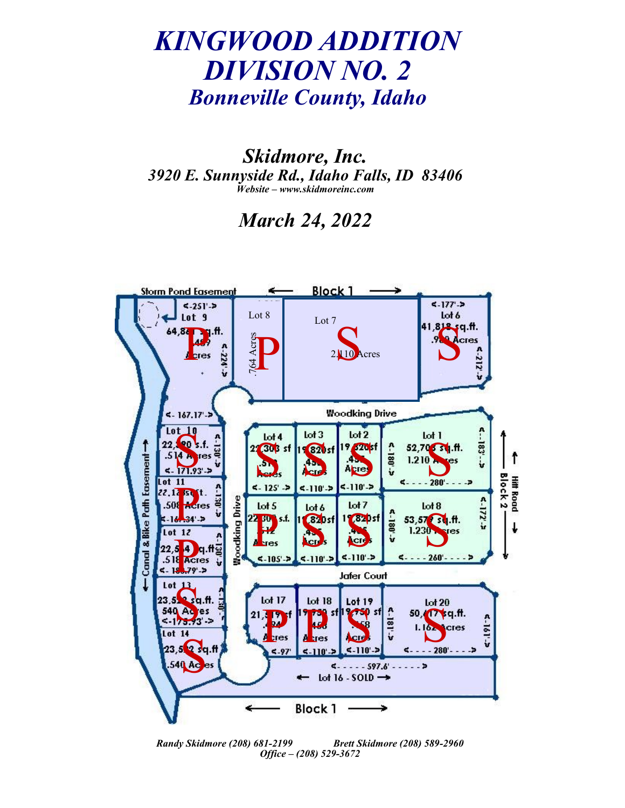## *KINGWOOD ADDITION DIVISION NO. 2 Bonneville County, Idaho*

*Skidmore, Inc. 3920 E. Sunnyside Rd., Idaho Falls, ID 83406 Website – www.skidmoreinc.com*

*March 24, 2022*



*Randy Skidmore (208) 681-2199 Brett Skidmore (208) 589-2960 Office – (208) 529-3672*